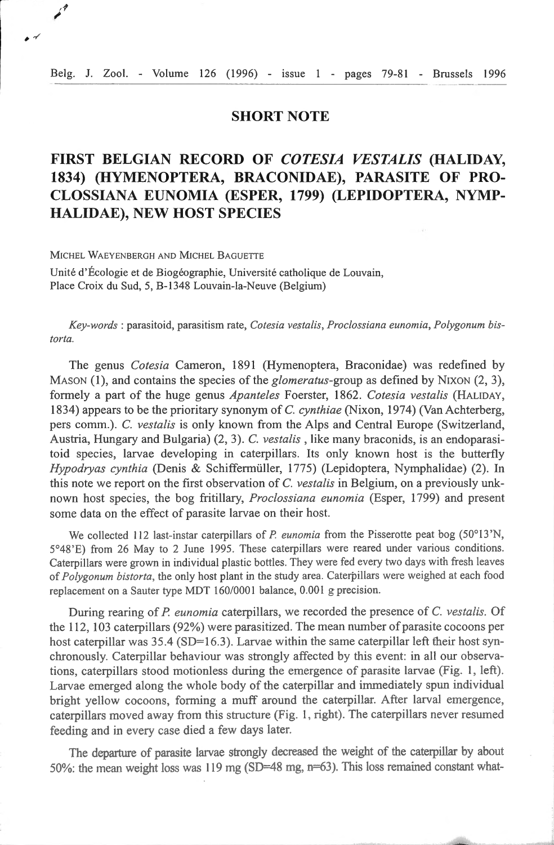## **SHORT NOTE**

## **FIRST BELGIAN RECORD OF** *COTES/A VESTALIS* **(HALIDAY, 1834) (HYMENOPTERA, BRACONIDAE), PARASITE OF PRO-CLOSSIANA EUNOMIA (ESPER, 1799) (LEPIDOPTERA, NYMP-HALIDAE), NEW HOST SPECIES**

MICHEL WAEYENBERGH AND MICHEL BAGUETTE

 $\begin{array}{c} \end{array}$ 

Unité d'Écologie et de Biogéographie, Université catholique de Louvain, Place Croix du Sud, 5, B-1348 Louvain-la-Neuve (Belgium)

*Key-words* : parasitoid, parasitism rate, *Cotesia vestalis, Proclossiana eunomia, Polygonum bistor/a.* 

The gem1s *Cotesia* Cameron, 1891 (Hymenoptera, Braconidae) was redefined by MASON (1), and contains the species of the *glomeratus-group* as defined by NiXON (2, 3), formely a part of the huge genus *Apanteles* Foerster, 1862. *Cotesia vestalis* (HALIDAY, 1834) appears to be the prioritary synonym of C. *cynthiae* (Nixon, 1974) (Van Achterberg, pers comm.). C. *vestalis* is only known from the Alps and Central Europe (Switzerland, Austria, Hungary and Bulgaria) (2, 3). C. *vestalis,* like many braconids, is an endoparasitoid species, larvae developing in caterpillars. Its only known host is the butterfly *Hypodryas cynthia* (Denis & Schiffermüller, 1775) (Lepidoptera, Nymphalidae) (2). ln this note we report on the first observation of C. *vestalis* in Belgium, on a previously un.known host species, the bog fritillary, *Proclossiana eunornia* (Esper, 1799) and present some data on the effect of parasite larvae on their host.

We collected 112 last-instar caterpillars of *P. eunomia* from the Pisserotte peat bog (50°13'N, 5°48'E) from 26 May to 2 June 1995. These caterpillars were reared under various conditions. Caterpillars were grown in individual plastic bottles. They were fed every two days with fresh leaves of *Polygonum bistorta,* the only bost plant in the study area . Caterpillars were weighed at each food replacement on a Sauter type MDT 160/0001 balance, 0.001 g precision.

During rearing of *P. eunomia* caterpillars, we recorded the presence of *C. vestalis.* Of the 112, 103 caterpillars (92%) were parasiti zed. The mean number of parasite cocoons per host caterpillar was  $35.4$  (SD=16.3). Larvae within the same caterpillar left their host synchronously. Caterpillar behaviour was strongly affected by this event: in all our observations, caterpillars stood motionless during the emergence of parasite larvae (Fig. 1, left). Larvae emerged along the whole body of the caterpillar and immediately spun individual bright yellow cocoons, forming a muff around the caterpillar. After larval emergence, caterpillars moved away from this structure (Fig. 1, right). The caterpillars never resumed feeding and in every case died a few days later.

The departure of parasite larvae strongly decreased the weight of the caterpillar by about 50%: the mean weight loss was 119 mg (SD=48 mg, n=63). This loss remained constant what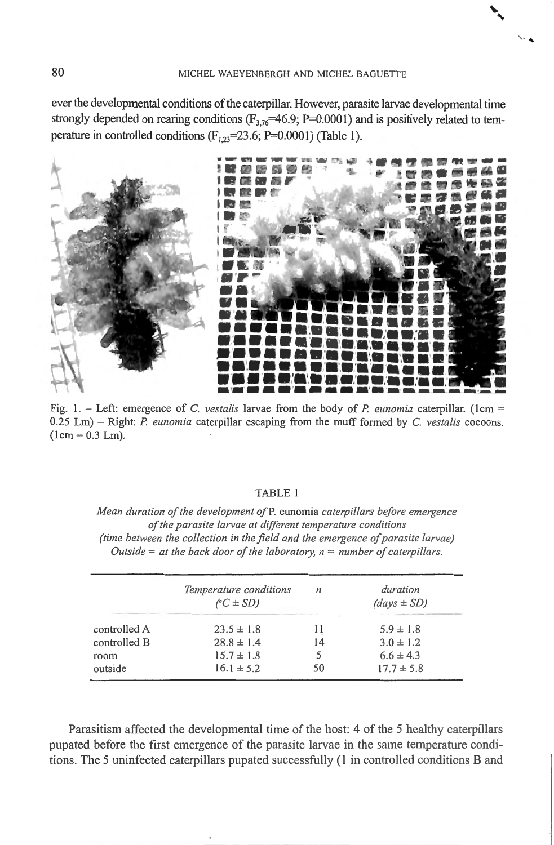ever the developmental conditions of the caterpillar. However, parasite larvae developmental time strongly depended on rearing conditions ( $F_{3.76}$ =46.9; P=0.0001) and is positively related to temperature in controlled conditions ( $F_{1,23}$ =23.6; P=0.0001) (Table 1).



Fig. 1. – Left: emergence of C. vestalis larvae from the body of P. eunomia caterpillar. (1cm =  $0.25$  Lm) – Right: P. eunomia caterpillar escaping from the muff formed by C. vestalis cocoons.  $(1cm = 0.3$  Lm).

## **TABLE 1**

Mean duration of the development of P. eunomia caterpillars before emergence of the parasite larvae at different temperature conditions (time between the collection in the field and the emergence of parasite larvae) Outside = at the back door of the laboratory,  $n = number of caterpillars$ .

|              | Temperature conditions<br>$\sqrt{C} \pm SD$ | n  | duration<br>$(days \pm SD)$ |
|--------------|---------------------------------------------|----|-----------------------------|
| controlled A | $23.5 \pm 1.8$                              | 11 | $5.9 \pm 1.8$               |
| controlled B | $28.8 \pm 1.4$                              | 14 | $3.0 \pm 1.2$               |
| room         | $15.7 \pm 1.8$                              |    | $6.6 \pm 4.3$               |
| outside      | $16.1 \pm 5.2$                              | 50 | $17.7 \pm 5.8$              |

Parasitism affected the developmental time of the host: 4 of the 5 healthy caterpillars pupated before the first emergence of the parasite larvae in the same temperature conditions. The 5 uninfected caterpillars pupated successfully (1 in controlled conditions B and